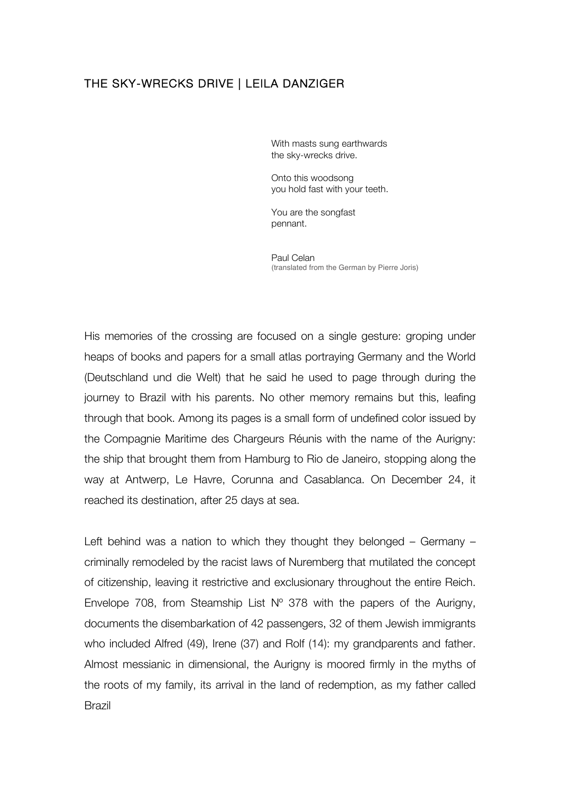## THE SKY-WRECKS DRIVE | LEILA DANZIGER

With masts sung earthwards the sky-wrecks drive.

Onto this woodsong you hold fast with your teeth.

You are the songfast pennant.

Paul Celan (translated from the German by Pierre Joris)

His memories of the crossing are focused on a single gesture: groping under heaps of books and papers for a small atlas portraying Germany and the World (Deutschland und die Welt) that he said he used to page through during the journey to Brazil with his parents. No other memory remains but this, leafing through that book. Among its pages is a small form of undefined color issued by the Compagnie Maritime des Chargeurs Réunis with the name of the Aurigny: the ship that brought them from Hamburg to Rio de Janeiro, stopping along the way at Antwerp, Le Havre, Corunna and Casablanca. On December 24, it reached its destination, after 25 days at sea.

Left behind was a nation to which they thought they belonged – Germany – criminally remodeled by the racist laws of Nuremberg that mutilated the concept of citizenship, leaving it restrictive and exclusionary throughout the entire Reich. Envelope 708, from Steamship List  $N^{\circ}$  378 with the papers of the Aurigny, documents the disembarkation of 42 passengers, 32 of them Jewish immigrants who included Alfred (49), Irene (37) and Rolf (14): my grandparents and father. Almost messianic in dimensional, the Aurigny is moored firmly in the myths of the roots of my family, its arrival in the land of redemption, as my father called Brazil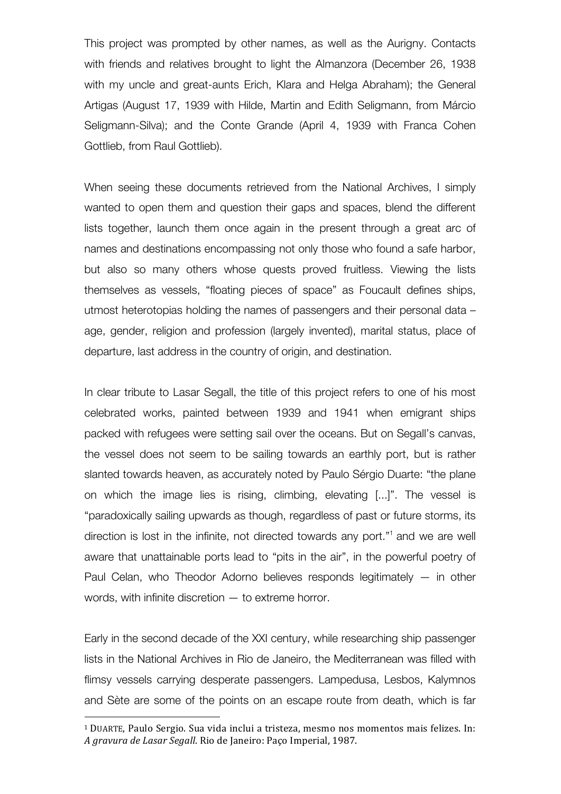This project was prompted by other names, as well as the Aurigny. Contacts with friends and relatives brought to light the Almanzora (December 26, 1938 with my uncle and great-aunts Erich, Klara and Helga Abraham); the General Artigas (August 17, 1939 with Hilde, Martin and Edith Seligmann, from Márcio Seligmann-Silva); and the Conte Grande (April 4, 1939 with Franca Cohen Gottlieb, from Raul Gottlieb).

When seeing these documents retrieved from the National Archives, I simply wanted to open them and question their gaps and spaces, blend the different lists together, launch them once again in the present through a great arc of names and destinations encompassing not only those who found a safe harbor, but also so many others whose quests proved fruitless. Viewing the lists themselves as vessels, "floating pieces of space" as Foucault defines ships, utmost heterotopias holding the names of passengers and their personal data – age, gender, religion and profession (largely invented), marital status, place of departure, last address in the country of origin, and destination.

In clear tribute to Lasar Segall, the title of this project refers to one of his most celebrated works, painted between 1939 and 1941 when emigrant ships packed with refugees were setting sail over the oceans. But on Segall's canvas, the vessel does not seem to be sailing towards an earthly port, but is rather slanted towards heaven, as accurately noted by Paulo Sérgio Duarte: "the plane on which the image lies is rising, climbing, elevating [...]". The vessel is "paradoxically sailing upwards as though, regardless of past or future storms, its direction is lost in the infinite, not directed towards any port."1 and we are well aware that unattainable ports lead to "pits in the air", in the powerful poetry of Paul Celan, who Theodor Adorno believes responds legitimately — in other words, with infinite discretion — to extreme horror.

Early in the second decade of the XXI century, while researching ship passenger lists in the National Archives in Rio de Janeiro, the Mediterranean was filled with flimsy vessels carrying desperate passengers. Lampedusa, Lesbos, Kalymnos and Sète are some of the points on an escape route from death, which is far

 

<sup>&</sup>lt;sup>1</sup> DUARTE, Paulo Sergio. Sua vida inclui a tristeza, mesmo nos momentos mais felizes. In: *A gravura de Lasar Segall*. Rio de Janeiro: Paço Imperial, 1987.